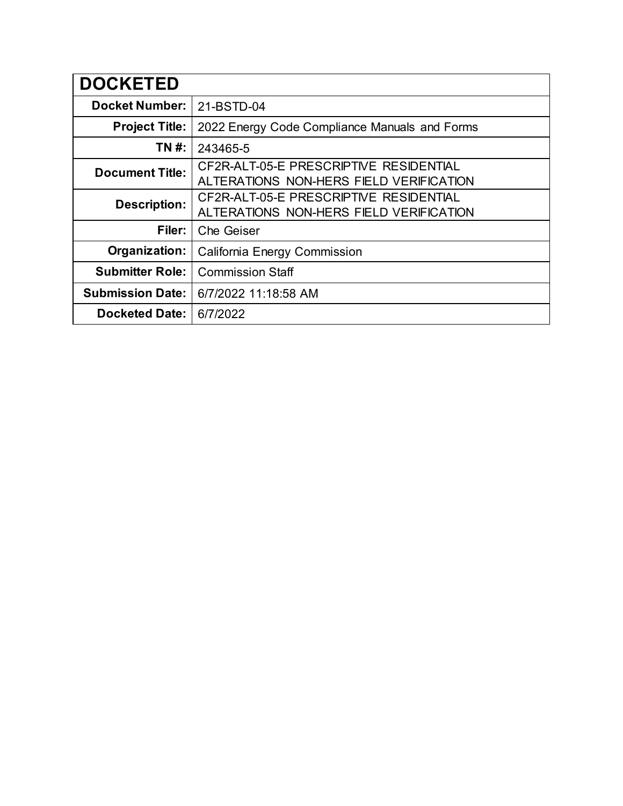| <b>DOCKETED</b>         |                                                                                   |
|-------------------------|-----------------------------------------------------------------------------------|
| <b>Docket Number:</b>   | 21-BSTD-04                                                                        |
| <b>Project Title:</b>   | 2022 Energy Code Compliance Manuals and Forms                                     |
| TN #:                   | 243465-5                                                                          |
| <b>Document Title:</b>  | CF2R-ALT-05-E PRESCRIPTIVE RESIDENTIAL<br>ALTERATIONS NON-HERS FIELD VERIFICATION |
| <b>Description:</b>     | CF2R-ALT-05-E PRESCRIPTIVE RESIDENTIAL<br>ALTERATIONS NON-HERS FIELD VERIFICATION |
| Filer:                  | <b>Che Geiser</b>                                                                 |
| Organization:           | California Energy Commission                                                      |
| <b>Submitter Role:</b>  | <b>Commission Staff</b>                                                           |
| <b>Submission Date:</b> | 6/7/2022 11:18:58 AM                                                              |
| <b>Docketed Date:</b>   | 6/7/2022                                                                          |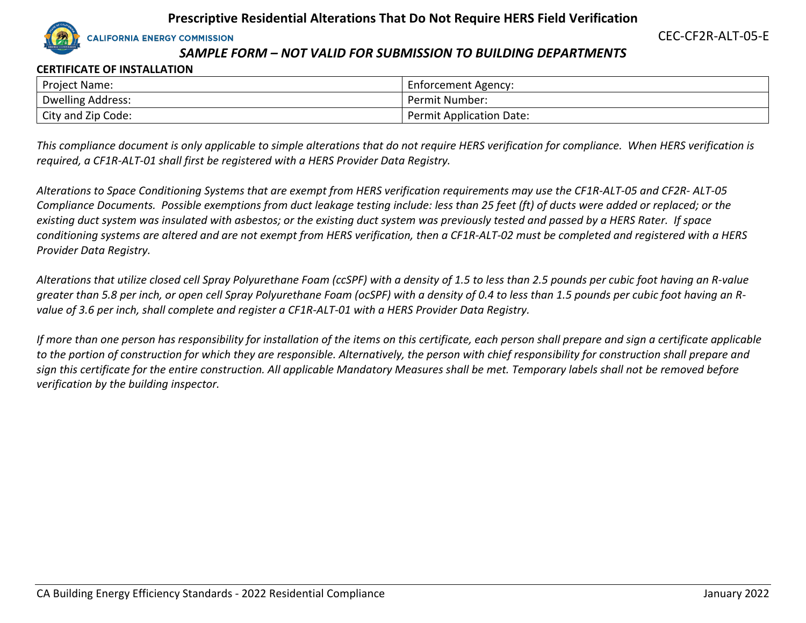

CEC-CF2R-ALT-05-E

# *SAMPLE FORM – NOT VALID FOR SUBMISSION TO BUILDING DEPARTMENTS*

#### **CERTIFICATE OF INSTALLATION**

| <b>Project Name:</b>     | Enforcement Agency:             |
|--------------------------|---------------------------------|
| <b>Dwelling Address:</b> | Permit Number:                  |
| City and Zip Code:       | <b>Permit Application Date:</b> |

*This compliance document is only applicable to simple alterations that do not require HERS verification for compliance. When HERS verification is required, a CF1R-ALT-01 shall first be registered with a HERS Provider Data Registry.* 

*Alterations to Space Conditioning Systems that are exempt from HERS verification requirements may use the CF1R-ALT-05 and CF2R- ALT-05 Compliance Documents. Possible exemptions from duct leakage testing include: less than 25 feet (ft) of ducts were added or replaced; or the existing duct system was insulated with asbestos; or the existing duct system was previously tested and passed by a HERS Rater. If space conditioning systems are altered and are not exempt from HERS verification, then a CF1R-ALT-02 must be completed and registered with a HERS Provider Data Registry.*

*Alterations that utilize closed cell Spray Polyurethane Foam (ccSPF) with a density of 1.5 to less than 2.5 pounds per cubic foot having an R-value greater than 5.8 per inch, or open cell Spray Polyurethane Foam (ocSPF) with a density of 0.4 to less than 1.5 pounds per cubic foot having an Rvalue of 3.6 per inch, shall complete and register a CF1R-ALT-01 with a HERS Provider Data Registry.*

*If more than one person has responsibility for installation of the items on this certificate, each person shall prepare and sign a certificate applicable to the portion of construction for which they are responsible. Alternatively, the person with chief responsibility for construction shall prepare and sign this certificate for the entire construction. All applicable Mandatory Measures shall be met. Temporary labels shall not be removed before verification by the building inspector.*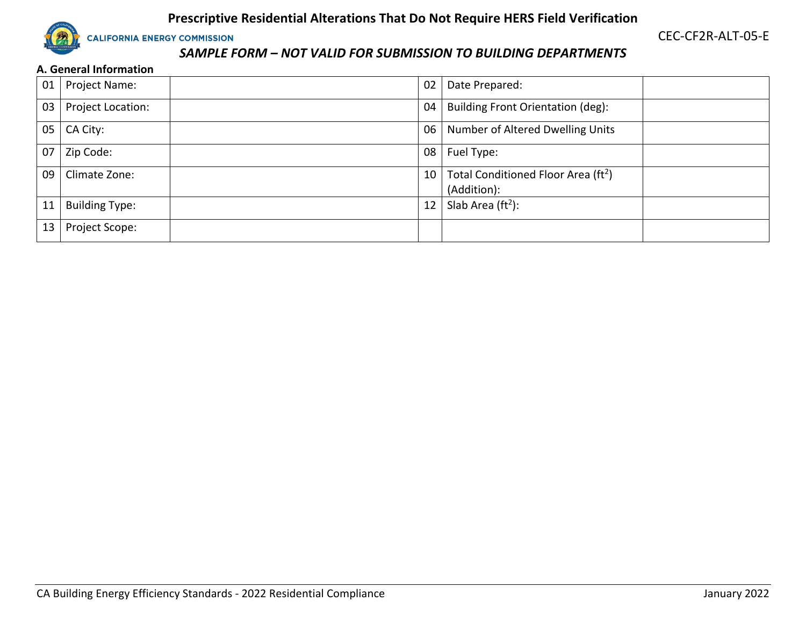

CEC-CF2R-ALT-05-E

# *SAMPLE FORM – NOT VALID FOR SUBMISSION TO BUILDING DEPARTMENTS*

#### **A. General Information**

| 01 | Project Name:         | 02              | Date Prepared:                                                 |  |
|----|-----------------------|-----------------|----------------------------------------------------------------|--|
| 03 | Project Location:     | 04              | <b>Building Front Orientation (deg):</b>                       |  |
| 05 | CA City:              | 06              | Number of Altered Dwelling Units                               |  |
| 07 | Zip Code:             | 08              | Fuel Type:                                                     |  |
| 09 | Climate Zone:         | 10 <sup>°</sup> | Total Conditioned Floor Area (ft <sup>2</sup> )<br>(Addition): |  |
| 11 | <b>Building Type:</b> | 12              | Slab Area $(ft2)$ :                                            |  |
| 13 | Project Scope:        |                 |                                                                |  |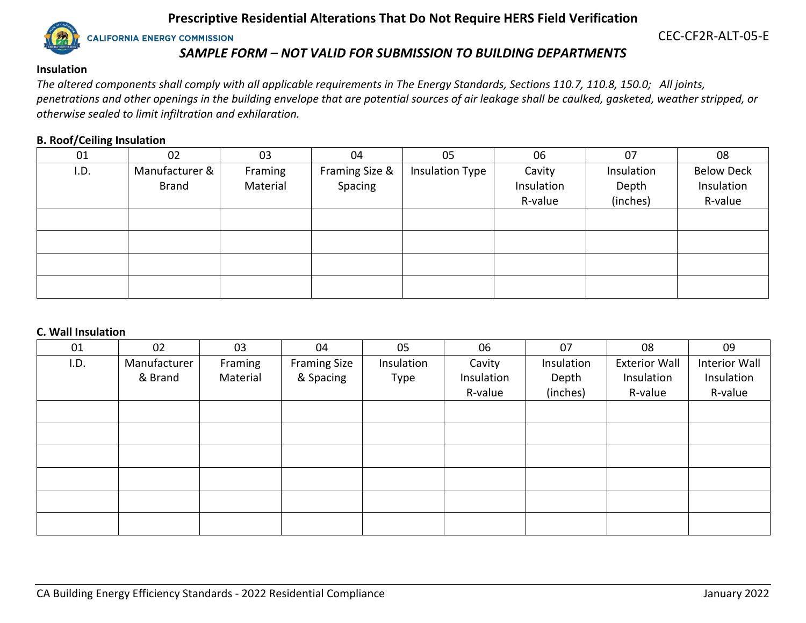

CEC-CF2R-ALT-05-E

# *SAMPLE FORM – NOT VALID FOR SUBMISSION TO BUILDING DEPARTMENTS*

#### **Insulation**

*The altered components shall comply with all applicable requirements in The Energy Standards, Sections 110.7, 110.8, 150.0; All joints, penetrations and other openings in the building envelope that are potential sources of air leakage shall be caulked, gasketed, weather stripped, or otherwise sealed to limit infiltration and exhilaration.*

#### **B. Roof/Ceiling Insulation**

| 01   | 02             | 03       | 04             | 05                     | 06         | 07         | 08                |
|------|----------------|----------|----------------|------------------------|------------|------------|-------------------|
| I.D. | Manufacturer & | Framing  | Framing Size & | <b>Insulation Type</b> | Cavity     | Insulation | <b>Below Deck</b> |
|      | <b>Brand</b>   | Material | Spacing        |                        | Insulation | Depth      | Insulation        |
|      |                |          |                |                        | R-value    | (inches)   | R-value           |
|      |                |          |                |                        |            |            |                   |
|      |                |          |                |                        |            |            |                   |
|      |                |          |                |                        |            |            |                   |
|      |                |          |                |                        |            |            |                   |

#### **C. Wall Insulation**

| 01   | 02           | 03       | 04                  | 05         | 06         | 07         | 08                   | 09            |
|------|--------------|----------|---------------------|------------|------------|------------|----------------------|---------------|
| I.D. | Manufacturer | Framing  | <b>Framing Size</b> | Insulation | Cavity     | Insulation | <b>Exterior Wall</b> | Interior Wall |
|      | & Brand      | Material | & Spacing           | Type       | Insulation | Depth      | Insulation           | Insulation    |
|      |              |          |                     |            | R-value    | (inches)   | R-value              | R-value       |
|      |              |          |                     |            |            |            |                      |               |
|      |              |          |                     |            |            |            |                      |               |
|      |              |          |                     |            |            |            |                      |               |
|      |              |          |                     |            |            |            |                      |               |
|      |              |          |                     |            |            |            |                      |               |
|      |              |          |                     |            |            |            |                      |               |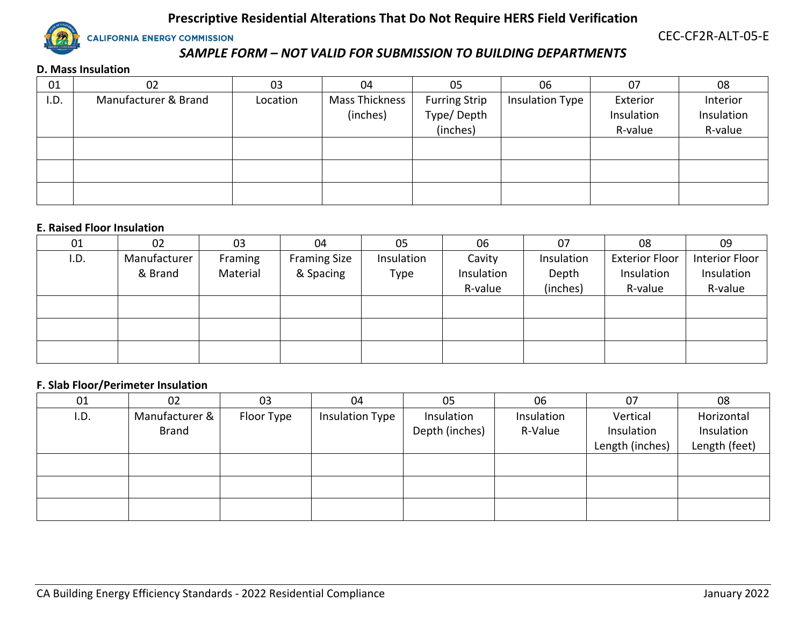

CEC-CF2R-ALT-05-E

# *SAMPLE FORM – NOT VALID FOR SUBMISSION TO BUILDING DEPARTMENTS*

#### **D. Mass Insulation**

| 01   | 02                   | 03       | 04             | 05                   | 06                     | 07         | 08         |
|------|----------------------|----------|----------------|----------------------|------------------------|------------|------------|
| I.D. | Manufacturer & Brand | Location | Mass Thickness | <b>Furring Strip</b> | <b>Insulation Type</b> | Exterior   | Interior   |
|      |                      |          | (inches)       | Type/Depth           |                        | Insulation | Insulation |
|      |                      |          |                | (inches)             |                        | R-value    | R-value    |
|      |                      |          |                |                      |                        |            |            |
|      |                      |          |                |                      |                        |            |            |
|      |                      |          |                |                      |                        |            |            |
|      |                      |          |                |                      |                        |            |            |
|      |                      |          |                |                      |                        |            |            |

#### **E. Raised Floor Insulation**

| 01   | 02           | 03       | 04                  | 05         | 06         | 07         | 08                    | 09             |
|------|--------------|----------|---------------------|------------|------------|------------|-----------------------|----------------|
| I.D. | Manufacturer | Framing  | <b>Framing Size</b> | Insulation | Cavity     | Insulation | <b>Exterior Floor</b> | Interior Floor |
|      | & Brand      | Material | & Spacing           | Type       | Insulation | Depth      | Insulation            | Insulation     |
|      |              |          |                     |            | R-value    | (inches)   | R-value               | R-value        |
|      |              |          |                     |            |            |            |                       |                |
|      |              |          |                     |            |            |            |                       |                |
|      |              |          |                     |            |            |            |                       |                |
|      |              |          |                     |            |            |            |                       |                |
|      |              |          |                     |            |            |            |                       |                |

#### **F. Slab Floor/Perimeter Insulation**

| 01   | 02             | 03         | 04                     | 05             | 06         | 07              | 08            |
|------|----------------|------------|------------------------|----------------|------------|-----------------|---------------|
| I.D. | Manufacturer & | Floor Type | <b>Insulation Type</b> | Insulation     | Insulation | Vertical        | Horizontal    |
|      | <b>Brand</b>   |            |                        | Depth (inches) | R-Value    | Insulation      | Insulation    |
|      |                |            |                        |                |            | Length (inches) | Length (feet) |
|      |                |            |                        |                |            |                 |               |
|      |                |            |                        |                |            |                 |               |
|      |                |            |                        |                |            |                 |               |
|      |                |            |                        |                |            |                 |               |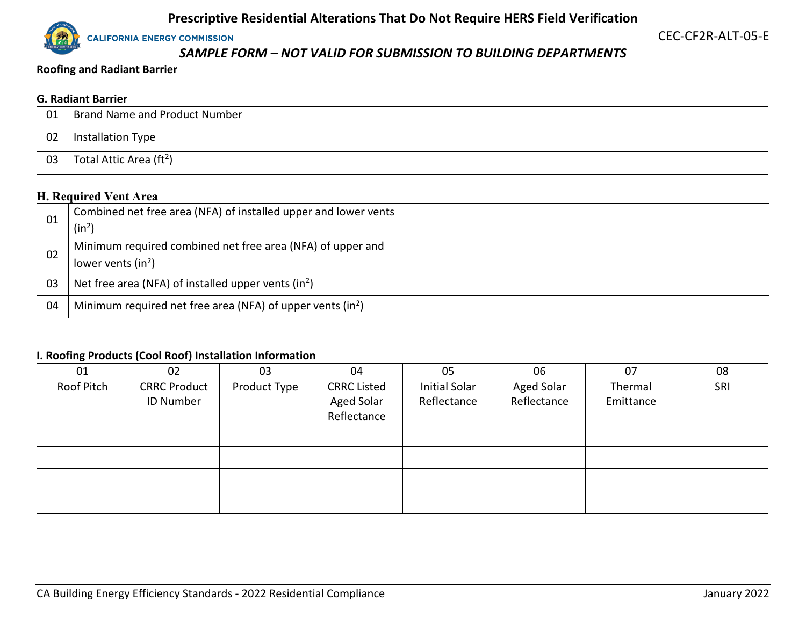**CALIFORNIA ENERGY COMMISSION** 

CEC-CF2R-ALT-05-E

# *SAMPLE FORM – NOT VALID FOR SUBMISSION TO BUILDING DEPARTMENTS*

**Roofing and Radiant Barrier**

#### **G. Radiant Barrier**

| 01 | <b>Brand Name and Product Number</b> |  |
|----|--------------------------------------|--|
| 02 | Installation Type                    |  |
| 03 | Total Attic Area ( $ft2$ )           |  |

# **H. Required Vent Area**

| -01 | Combined net free area (NFA) of installed upper and lower vents<br>(in <sup>2</sup> ) |  |
|-----|---------------------------------------------------------------------------------------|--|
| 02  | Minimum required combined net free area (NFA) of upper and<br>lower vents $(in^2)$    |  |
| 03  | Net free area (NFA) of installed upper vents $(in^2)$                                 |  |
| 04  | Minimum required net free area (NFA) of upper vents $(in^2)$                          |  |

## **I. Roofing Products (Cool Roof) Installation Information**

| 01         | 02                  | 03           | 04                 | 05            | 06                | 07        | 08  |
|------------|---------------------|--------------|--------------------|---------------|-------------------|-----------|-----|
| Roof Pitch | <b>CRRC Product</b> | Product Type | <b>CRRC Listed</b> | Initial Solar | <b>Aged Solar</b> | Thermal   | SRI |
|            | ID Number           |              | <b>Aged Solar</b>  | Reflectance   | Reflectance       | Emittance |     |
|            |                     |              | Reflectance        |               |                   |           |     |
|            |                     |              |                    |               |                   |           |     |
|            |                     |              |                    |               |                   |           |     |
|            |                     |              |                    |               |                   |           |     |
|            |                     |              |                    |               |                   |           |     |
|            |                     |              |                    |               |                   |           |     |
|            |                     |              |                    |               |                   |           |     |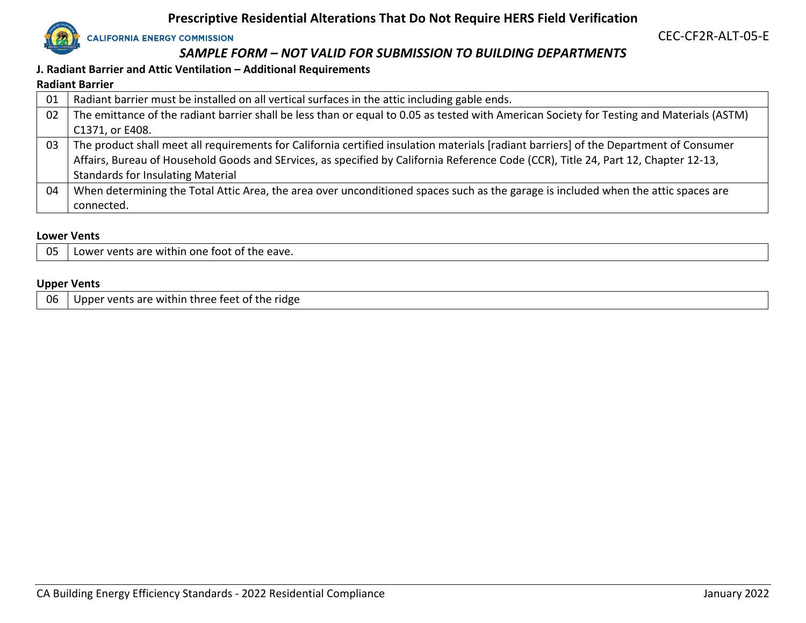

CEC-CF2R-ALT-05-E

# *SAMPLE FORM – NOT VALID FOR SUBMISSION TO BUILDING DEPARTMENTS*

#### **J. Radiant Barrier and Attic Ventilation – Additional Requirements**

#### **Radiant Barrier**

| 01 | Radiant barrier must be installed on all vertical surfaces in the attic including gable ends.                                             |
|----|-------------------------------------------------------------------------------------------------------------------------------------------|
| 02 | The emittance of the radiant barrier shall be less than or equal to 0.05 as tested with American Society for Testing and Materials (ASTM) |
|    | C1371, or E408.                                                                                                                           |
| 03 | The product shall meet all requirements for California certified insulation materials [radiant barriers] of the Department of Consumer    |
|    | Affairs, Bureau of Household Goods and SErvices, as specified by California Reference Code (CCR), Title 24, Part 12, Chapter 12-13,       |
|    | <b>Standards for Insulating Material</b>                                                                                                  |
| 04 | When determining the Total Attic Area, the area over unconditioned spaces such as the garage is included when the attic spaces are        |
|    | connected.                                                                                                                                |

#### **Lower Vents**

| 05 | . within one foot of the eave.<br>r vents are v<br>Lower |
|----|----------------------------------------------------------|
|----|----------------------------------------------------------|

#### **Upper Vents**

|  | $\vert$ 06 $\vert$ Upper vents are within three feet of the ridge |
|--|-------------------------------------------------------------------|
|--|-------------------------------------------------------------------|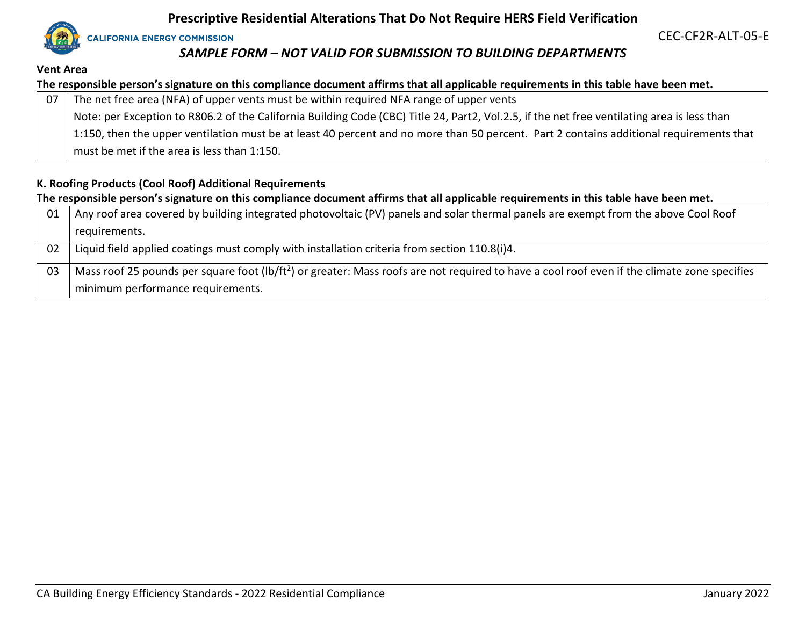**CALIFORNIA ENERGY COMMISSION** 

# CEC-CF2R-ALT-05-E

# *SAMPLE FORM – NOT VALID FOR SUBMISSION TO BUILDING DEPARTMENTS*

#### **Vent Area**

## **The responsible person's signature on this compliance document affirms that all applicable requirements in this table have been met.**

| 07 | The net free area (NFA) of upper vents must be within required NFA range of upper vents                                                     |
|----|---------------------------------------------------------------------------------------------------------------------------------------------|
|    | Note: per Exception to R806.2 of the California Building Code (CBC) Title 24, Part2, Vol.2.5, if the net free ventilating area is less than |
|    | 1:150, then the upper ventilation must be at least 40 percent and no more than 50 percent. Part 2 contains additional requirements that     |
|    | must be met if the area is less than 1:150.                                                                                                 |

# **K. Roofing Products (Cool Roof) Additional Requirements**

#### **The responsible person's signature on this compliance document affirms that all applicable requirements in this table have been met.**

| -01 | Any roof area covered by building integrated photovoltaic (PV) panels and solar thermal panels are exempt from the above Cool Roof                       |
|-----|----------------------------------------------------------------------------------------------------------------------------------------------------------|
|     | requirements.                                                                                                                                            |
| -02 | Liquid field applied coatings must comply with installation criteria from section 110.8(i)4.                                                             |
| -03 | Mass roof 25 pounds per square foot (lb/ft <sup>2</sup> ) or greater: Mass roofs are not required to have a cool roof even if the climate zone specifies |
|     | minimum performance requirements.                                                                                                                        |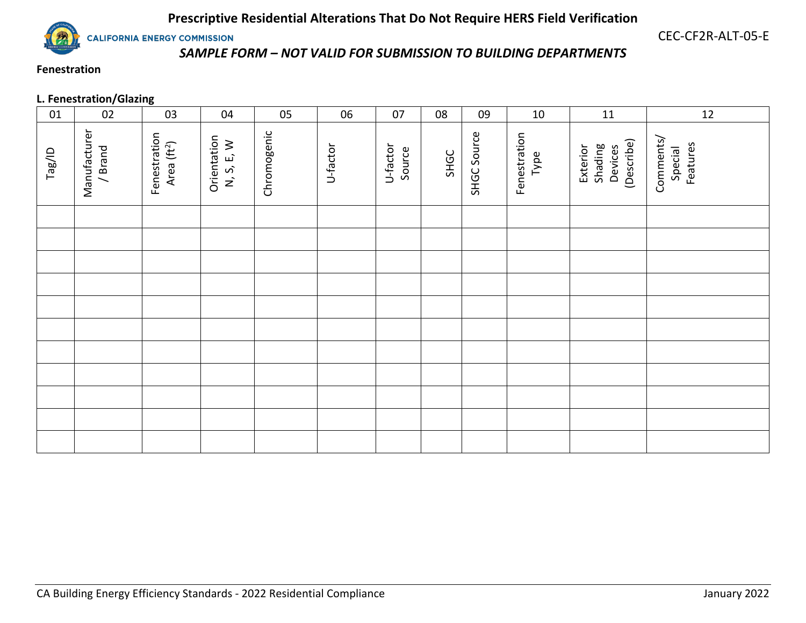**CALIFORNIA ENERGY COMMISSION** 

CEC-CF2R-ALT-05-E

# *SAMPLE FORM – NOT VALID FOR SUBMISSION TO BUILDING DEPARTMENTS*

# **Fenestration**

# **L. Fenestration/Glazing**

| 01     | 02                      | 03                                      | 04                        | 05          | 06       | 07                 | 08   | 09          | $10\,$               | 11                                           | 12                               |
|--------|-------------------------|-----------------------------------------|---------------------------|-------------|----------|--------------------|------|-------------|----------------------|----------------------------------------------|----------------------------------|
| Tag/ID | Manufacturer<br>/ Brand | Fenestration<br>Area (ft <sup>2</sup> ) | Orientation<br>N, S, E, W | Chromogenic | U-factor | U-factor<br>Source | SHGC | SHGC Source | Fenestration<br>Type | (Describe)<br>Shading<br>Devices<br>Exterior | Comments/<br>Features<br>Special |
|        |                         |                                         |                           |             |          |                    |      |             |                      |                                              |                                  |
|        |                         |                                         |                           |             |          |                    |      |             |                      |                                              |                                  |
|        |                         |                                         |                           |             |          |                    |      |             |                      |                                              |                                  |
|        |                         |                                         |                           |             |          |                    |      |             |                      |                                              |                                  |
|        |                         |                                         |                           |             |          |                    |      |             |                      |                                              |                                  |
|        |                         |                                         |                           |             |          |                    |      |             |                      |                                              |                                  |
|        |                         |                                         |                           |             |          |                    |      |             |                      |                                              |                                  |
|        |                         |                                         |                           |             |          |                    |      |             |                      |                                              |                                  |
|        |                         |                                         |                           |             |          |                    |      |             |                      |                                              |                                  |
|        |                         |                                         |                           |             |          |                    |      |             |                      |                                              |                                  |
|        |                         |                                         |                           |             |          |                    |      |             |                      |                                              |                                  |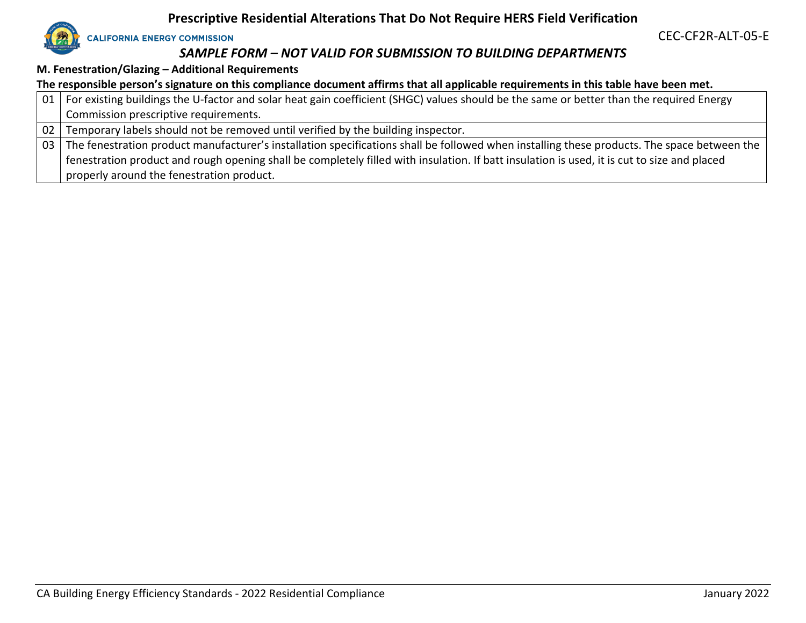

CEC-CF2R-ALT-05-E

# *SAMPLE FORM – NOT VALID FOR SUBMISSION TO BUILDING DEPARTMENTS*

**M. Fenestration/Glazing – Additional Requirements**

**The responsible person's signature on this compliance document affirms that all applicable requirements in this table have been met.**

| 01   For existing buildings the U-factor and solar heat gain coefficient (SHGC) values should be the same or better than the required Energy |
|----------------------------------------------------------------------------------------------------------------------------------------------|
| Commission prescriptive requirements.                                                                                                        |
| $\overline{102}$ Tomparary labels should not be removed until verified by the building inspector.                                            |

02 Temporary labels should not be removed until verified by the building inspector.

03 The fenestration product manufacturer's installation specifications shall be followed when installing these products. The space between the fenestration product and rough opening shall be completely filled with insulation. If batt insulation is used, it is cut to size and placed properly around the fenestration product.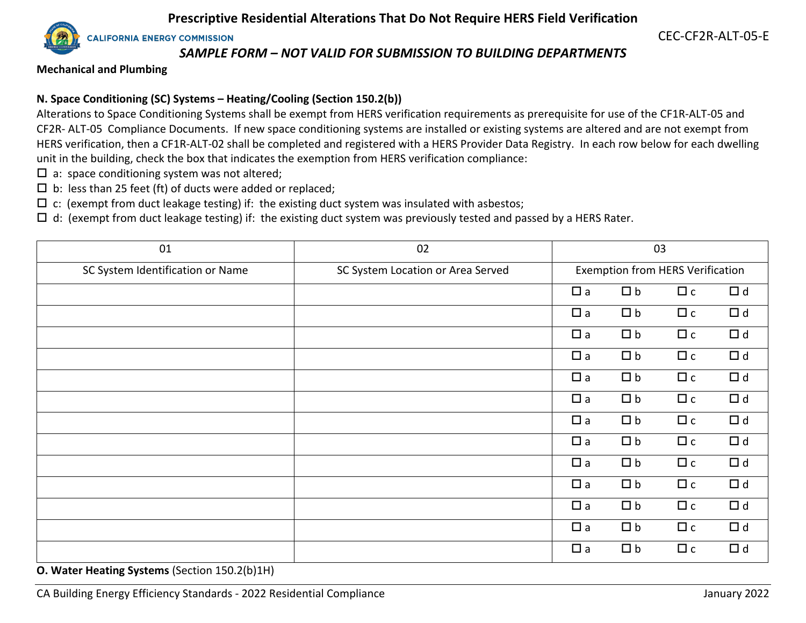**CALIFORNIA ENERGY COMMISSION** 

CEC-CF2R-ALT-05-E

#### *SAMPLE FORM – NOT VALID FOR SUBMISSION TO BUILDING DEPARTMENTS*

**Mechanical and Plumbing**

#### **N. Space Conditioning (SC) Systems – Heating/Cooling (Section 150.2(b))**

Alterations to Space Conditioning Systems shall be exempt from HERS verification requirements as prerequisite for use of the CF1R-ALT-05 and CF2R- ALT-05 Compliance Documents. If new space conditioning systems are installed or existing systems are altered and are not exempt from HERS verification, then a CF1R-ALT-02 shall be completed and registered with a HERS Provider Data Registry. In each row below for each dwelling unit in the building, check the box that indicates the exemption from HERS verification compliance:

- $\square$  a: space conditioning system was not altered;
- $\square$  b: less than 25 feet (ft) of ducts were added or replaced;
- $\Box$  c: (exempt from duct leakage testing) if: the existing duct system was insulated with asbestos;

 $\Box$  d: (exempt from duct leakage testing) if: the existing duct system was previously tested and passed by a HERS Rater.

| 01                               | 02                                | 03       |          |                                         |          |
|----------------------------------|-----------------------------------|----------|----------|-----------------------------------------|----------|
| SC System Identification or Name | SC System Location or Area Served |          |          | <b>Exemption from HERS Verification</b> |          |
|                                  |                                   | $\Box$ a | $\Box$ b | $\Box$ c                                | $\Box$ d |
|                                  |                                   | $\Box$ a | $\Box$ b | $\Box$ c                                | $\Box$ d |
|                                  |                                   | $\Box$ a | $\Box$ b | $\Box$ c                                | $\Box$ d |
|                                  |                                   | $\Box$ a | $\Box$ b | $\Box$ c                                | $\Box$ d |
|                                  |                                   | $\Box$ a | $\Box$ b | $\Box$ c                                | $\Box$ d |
|                                  |                                   | $\Box$ a | $\Box$ b | $\Box$ c                                | $\Box$ d |
|                                  |                                   | $\Box$ a | $\Box$ b | $\Box$ c                                | $\Box$ d |
|                                  |                                   | $\Box$ a | $\Box$ b | $\Box$ c                                | $\Box$ d |
|                                  |                                   | $\Box$ a | $\Box$ b | $\Box$ c                                | $\Box$ d |
|                                  |                                   | $\Box$ a | $\Box$ b | $\Box$ c                                | $\Box$ d |
|                                  |                                   | $\Box$ a | $\Box$ b | $\Box$ c                                | $\Box$ d |
|                                  |                                   | $\Box$ a | $\Box$ b | $\Box$ c                                | $\Box$ d |
|                                  |                                   | $\Box$ a | $\Box$ b | $\Box$ c                                | $\Box$ d |

**O. Water Heating Systems** (Section 150.2(b)1H)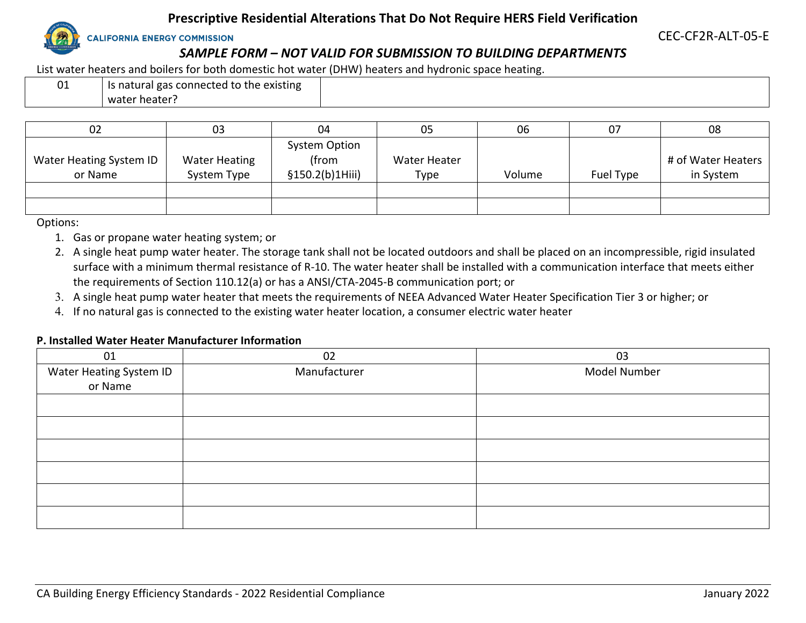

**CALIFORNIA ENERGY COMMISSION** 

CEC-CF2R-ALT-05-E

# *SAMPLE FORM – NOT VALID FOR SUBMISSION TO BUILDING DEPARTMENTS*

List water heaters and boilers for both domestic hot water (DHW) heaters and hydronic space heating.

| 01 | Is natural gas connected to the existing |
|----|------------------------------------------|
|    | water heater?                            |

| 02                      | 03                   | 04                   | 05                  | 06     | 07        | 08                 |
|-------------------------|----------------------|----------------------|---------------------|--------|-----------|--------------------|
|                         |                      | <b>System Option</b> |                     |        |           |                    |
| Water Heating System ID | <b>Water Heating</b> | (from                | <b>Water Heater</b> |        |           | # of Water Heaters |
| or Name                 | System Type          | \$150.2(b)1Hiii)     | Type                | Volume | Fuel Type | in System          |
|                         |                      |                      |                     |        |           |                    |
|                         |                      |                      |                     |        |           |                    |

Options:

- 1. Gas or propane water heating system; or
- 2. A single heat pump water heater. The storage tank shall not be located outdoors and shall be placed on an incompressible, rigid insulated surface with a minimum thermal resistance of R-10. The water heater shall be installed with a communication interface that meets either the requirements of Section 110.12(a) or has a ANSI/CTA-2045-B communication port; or
- 3. A single heat pump water heater that meets the requirements of NEEA Advanced Water Heater Specification Tier 3 or higher; or
- 4. If no natural gas is connected to the existing water heater location, a consumer electric water heater

#### **P. Installed Water Heater Manufacturer Information**

| 01                      | 02           | 03           |
|-------------------------|--------------|--------------|
| Water Heating System ID | Manufacturer | Model Number |
| or Name                 |              |              |
|                         |              |              |
|                         |              |              |
|                         |              |              |
|                         |              |              |
|                         |              |              |
|                         |              |              |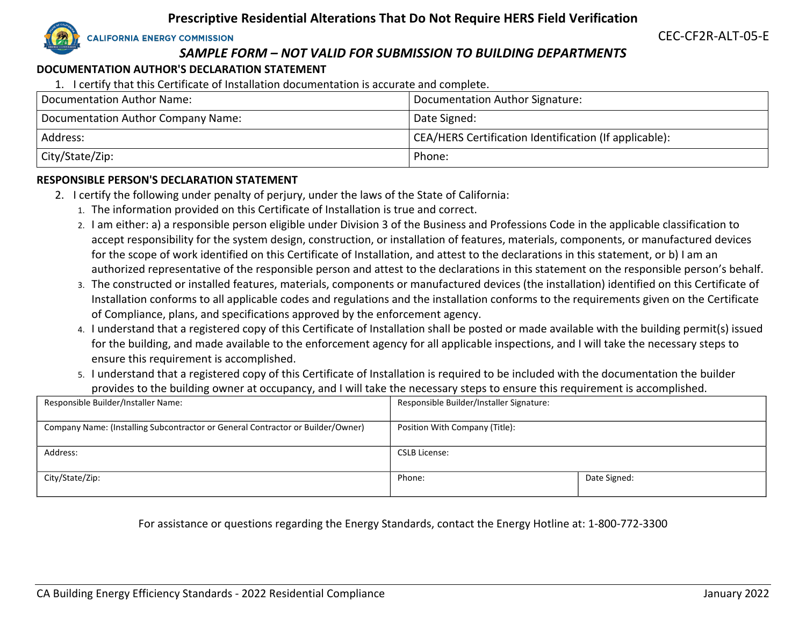

CEC-CF2R-ALT-05-E

# *SAMPLE FORM – NOT VALID FOR SUBMISSION TO BUILDING DEPARTMENTS*

## **DOCUMENTATION AUTHOR'S DECLARATION STATEMENT**

1. I certify that this Certificate of Installation documentation is accurate and complete.

| Documentation Author Name:         | Documentation Author Signature:                        |
|------------------------------------|--------------------------------------------------------|
| Documentation Author Company Name: | Date Signed:                                           |
| Address:                           | CEA/HERS Certification Identification (If applicable): |
| City/State/Zip:                    | Phone:                                                 |

## **RESPONSIBLE PERSON'S DECLARATION STATEMENT**

- 2. I certify the following under penalty of perjury, under the laws of the State of California:
	- 1. The information provided on this Certificate of Installation is true and correct.
	- 2. I am either: a) a responsible person eligible under Division 3 of the Business and Professions Code in the applicable classification to accept responsibility for the system design, construction, or installation of features, materials, components, or manufactured devices for the scope of work identified on this Certificate of Installation, and attest to the declarations in this statement, or b) I am an authorized representative of the responsible person and attest to the declarations in this statement on the responsible person's behalf.
	- 3. The constructed or installed features, materials, components or manufactured devices (the installation) identified on this Certificate of Installation conforms to all applicable codes and regulations and the installation conforms to the requirements given on the Certificate of Compliance, plans, and specifications approved by the enforcement agency.
	- 4. I understand that a registered copy of this Certificate of Installation shall be posted or made available with the building permit(s) issued for the building, and made available to the enforcement agency for all applicable inspections, and I will take the necessary steps to ensure this requirement is accomplished.
	- 5. I understand that a registered copy of this Certificate of Installation is required to be included with the documentation the builder provides to the building owner at occupancy, and I will take the necessary steps to ensure this requirement is accomplished.

| Responsible Builder/Installer Name:                                             | Responsible Builder/Installer Signature: |              |  |
|---------------------------------------------------------------------------------|------------------------------------------|--------------|--|
| Company Name: (Installing Subcontractor or General Contractor or Builder/Owner) | Position With Company (Title):           |              |  |
| Address:                                                                        | <b>CSLB License:</b>                     |              |  |
| City/State/Zip:                                                                 | Phone:                                   | Date Signed: |  |

## For assistance or questions regarding the Energy Standards, contact the Energy Hotline at: 1-800-772-3300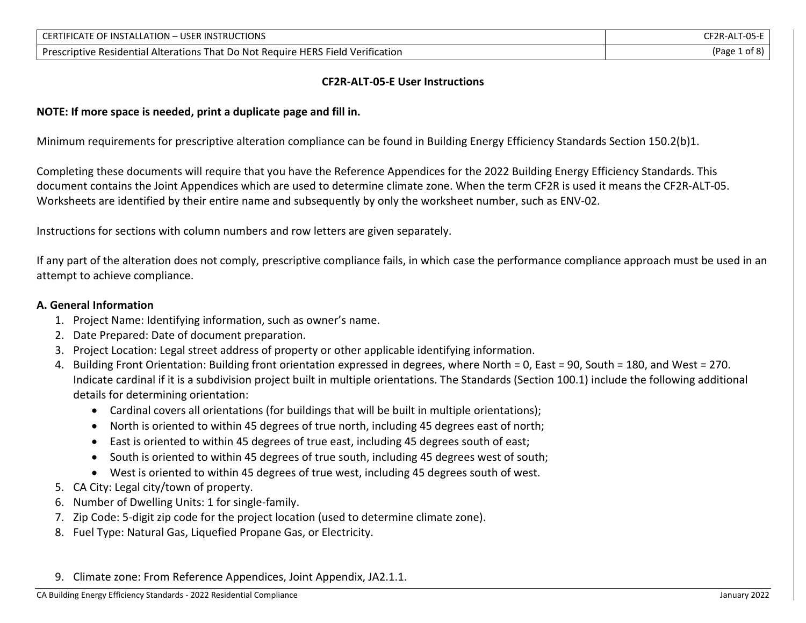| : OF INSTALLATION – USER INSTRUCTIONS<br><b>CERTIFICATE</b>                      | $\sim$<br>$E2R-AL$<br>כט-ו |
|----------------------------------------------------------------------------------|----------------------------|
| Prescriptive Residential Alterations That Do Not Require HERS Field Verification | AΡaσρ<br>ot 8.             |

#### **CF2R-ALT-05-E User Instructions**

#### **NOTE: If more space is needed, print a duplicate page and fill in.**

Minimum requirements for prescriptive alteration compliance can be found in Building Energy Efficiency Standards Section 150.2(b)1.

Completing these documents will require that you have the Reference Appendices for the 2022 Building Energy Efficiency Standards. This document contains the Joint Appendices which are used to determine climate zone. When the term CF2R is used it means the CF2R-ALT-05. Worksheets are identified by their entire name and subsequently by only the worksheet number, such as ENV-02.

Instructions for sections with column numbers and row letters are given separately.

If any part of the alteration does not comply, prescriptive compliance fails, in which case the performance compliance approach must be used in an attempt to achieve compliance.

#### **A. General Information**

- 1. Project Name: Identifying information, such as owner's name.
- 2. Date Prepared: Date of document preparation.
- 3. Project Location: Legal street address of property or other applicable identifying information.
- 4. Building Front Orientation: Building front orientation expressed in degrees, where North = 0, East = 90, South = 180, and West = 270. Indicate cardinal if it is a subdivision project built in multiple orientations. The Standards (Section 100.1) include the following additional details for determining orientation:
	- Cardinal covers all orientations (for buildings that will be built in multiple orientations);
	- North is oriented to within 45 degrees of true north, including 45 degrees east of north;
	- East is oriented to within 45 degrees of true east, including 45 degrees south of east;
	- South is oriented to within 45 degrees of true south, including 45 degrees west of south;
	- West is oriented to within 45 degrees of true west, including 45 degrees south of west.
- 5. CA City: Legal city/town of property.
- 6. Number of Dwelling Units: 1 for single-family.
- 7. Zip Code: 5-digit zip code for the project location (used to determine climate zone).
- 8. Fuel Type: Natural Gas, Liquefied Propane Gas, or Electricity.
- 9. Climate zone: From Reference Appendices, Joint Appendix, JA2.1.1.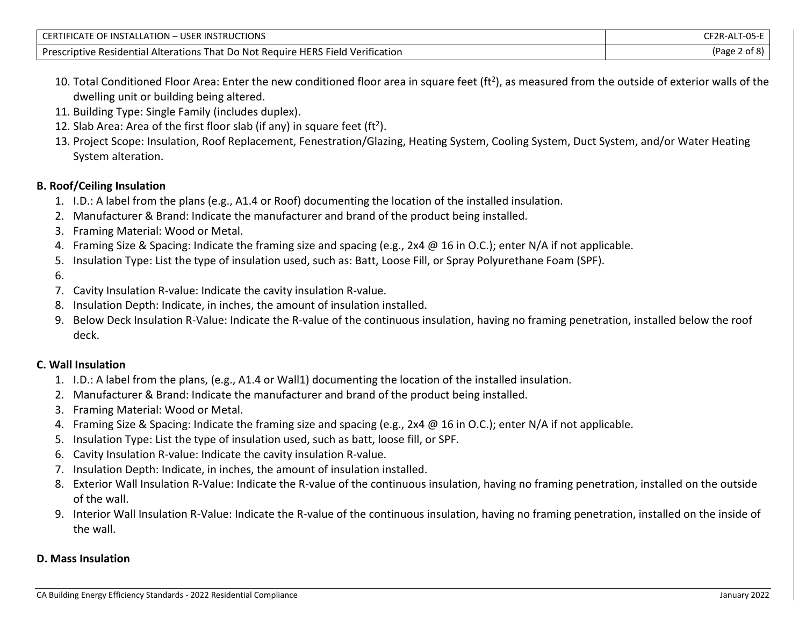| CERTIFICATE OF INSTALLATION - USER INSTRUCTIONS                                  | CF2R-ALT-05-E |
|----------------------------------------------------------------------------------|---------------|
| Prescriptive Residential Alterations That Do Not Require HERS Field Verification | (Page 2 of 8) |

- 10. Total Conditioned Floor Area: Enter the new conditioned floor area in square feet (ft<sup>2</sup>), as measured from the outside of exterior walls of the dwelling unit or building being altered.
- 11. Building Type: Single Family (includes duplex).
- 12. Slab Area: Area of the first floor slab (if any) in square feet (ft<sup>2</sup>).
- 13. Project Scope: Insulation, Roof Replacement, Fenestration/Glazing, Heating System, Cooling System, Duct System, and/or Water Heating System alteration.

## **B. Roof/Ceiling Insulation**

- 1. I.D.: A label from the plans (e.g., A1.4 or Roof) documenting the location of the installed insulation.
- 2. Manufacturer & Brand: Indicate the manufacturer and brand of the product being installed.
- 3. Framing Material: Wood or Metal.
- 4. Framing Size & Spacing: Indicate the framing size and spacing (e.g., 2x4 @ 16 in O.C.); enter N/A if not applicable.
- 5. Insulation Type: List the type of insulation used, such as: Batt, Loose Fill, or Spray Polyurethane Foam (SPF).
- 6.
- 7. Cavity Insulation R-value: Indicate the cavity insulation R-value.
- 8. Insulation Depth: Indicate, in inches, the amount of insulation installed.
- 9. Below Deck Insulation R-Value: Indicate the R-value of the continuous insulation, having no framing penetration, installed below the roof deck.

## **C. Wall Insulation**

- 1. I.D.: A label from the plans, (e.g., A1.4 or Wall1) documenting the location of the installed insulation.
- 2. Manufacturer & Brand: Indicate the manufacturer and brand of the product being installed.
- 3. Framing Material: Wood or Metal.
- 4. Framing Size & Spacing: Indicate the framing size and spacing (e.g., 2x4 @ 16 in O.C.); enter N/A if not applicable.
- 5. Insulation Type: List the type of insulation used, such as batt, loose fill, or SPF.
- 6. Cavity Insulation R-value: Indicate the cavity insulation R-value.
- 7. Insulation Depth: Indicate, in inches, the amount of insulation installed.
- 8. Exterior Wall Insulation R-Value: Indicate the R-value of the continuous insulation, having no framing penetration, installed on the outside of the wall.
- 9. Interior Wall Insulation R-Value: Indicate the R-value of the continuous insulation, having no framing penetration, installed on the inside of the wall.

#### **D. Mass Insulation**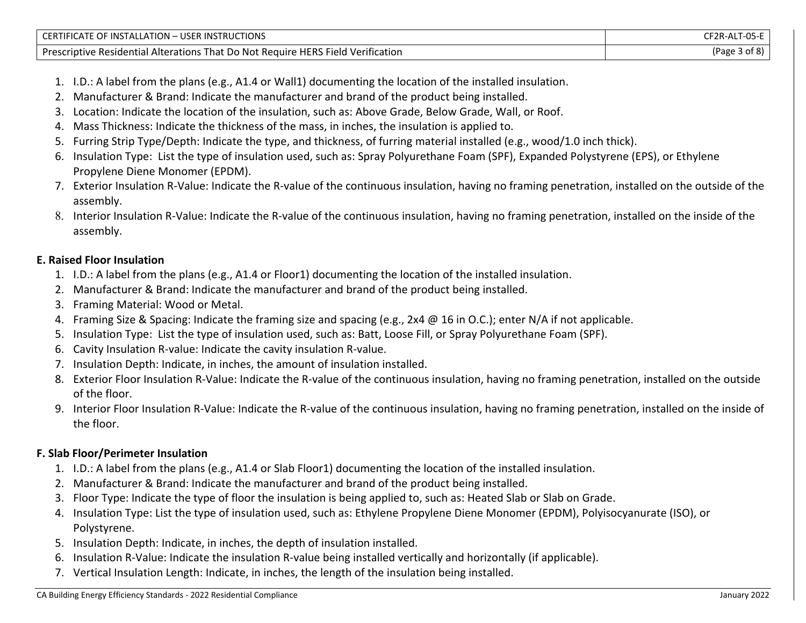| CERTIFICATE OF INSTALLATION – USER INSTRUCTIONS                                  | CF2R-ALT-05-E |
|----------------------------------------------------------------------------------|---------------|
| Prescriptive Residential Alterations That Do Not Require HERS Field Verification | (Page 3 of 8) |

- 1. I.D.: A label from the plans (e.g., A1.4 or Wall1) documenting the location of the installed insulation.
- 2. Manufacturer & Brand: Indicate the manufacturer and brand of the product being installed.
- 3. Location: Indicate the location of the insulation, such as: Above Grade, Below Grade, Wall, or Roof.
- 4. Mass Thickness: Indicate the thickness of the mass, in inches, the insulation is applied to.
- 5. Furring Strip Type/Depth: Indicate the type, and thickness, of furring material installed (e.g., wood/1.0 inch thick).
- 6. Insulation Type: List the type of insulation used, such as: Spray Polyurethane Foam (SPF), Expanded Polystyrene (EPS), or Ethylene Propylene Diene Monomer (EPDM).
- 7. Exterior Insulation R-Value: Indicate the R-value of the continuous insulation, having no framing penetration, installed on the outside of the assembly.
- 8. Interior Insulation R-Value: Indicate the R-value of the continuous insulation, having no framing penetration, installed on the inside of the assembly.

#### **E. Raised Floor Insulation**

- 1. I.D.: A label from the plans (e.g., A1.4 or Floor1) documenting the location of the installed insulation.
- 2. Manufacturer & Brand: Indicate the manufacturer and brand of the product being installed.
- 3. Framing Material: Wood or Metal.
- 4. Framing Size & Spacing: Indicate the framing size and spacing (e.g., 2x4 @ 16 in O.C.); enter N/A if not applicable.
- 5. Insulation Type: List the type of insulation used, such as: Batt, Loose Fill, or Spray Polyurethane Foam (SPF).
- 6. Cavity Insulation R-value: Indicate the cavity insulation R-value.
- 7. Insulation Depth: Indicate, in inches, the amount of insulation installed.
- 8. Exterior Floor Insulation R-Value: Indicate the R-value of the continuous insulation, having no framing penetration, installed on the outside of the floor.
- 9. Interior Floor Insulation R-Value: Indicate the R-value of the continuous insulation, having no framing penetration, installed on the inside of the floor.

## **F. Slab Floor/Perimeter Insulation**

- 1. I.D.: A label from the plans (e.g., A1.4 or Slab Floor1) documenting the location of the installed insulation.
- 2. Manufacturer & Brand: Indicate the manufacturer and brand of the product being installed.
- 3. Floor Type: Indicate the type of floor the insulation is being applied to, such as: Heated Slab or Slab on Grade.
- 4. Insulation Type: List the type of insulation used, such as: Ethylene Propylene Diene Monomer (EPDM), Polyisocyanurate (ISO), or Polystyrene.
- 5. Insulation Depth: Indicate, in inches, the depth of insulation installed.
- 6. Insulation R-Value: Indicate the insulation R-value being installed vertically and horizontally (if applicable).
- 7. Vertical Insulation Length: Indicate, in inches, the length of the insulation being installed.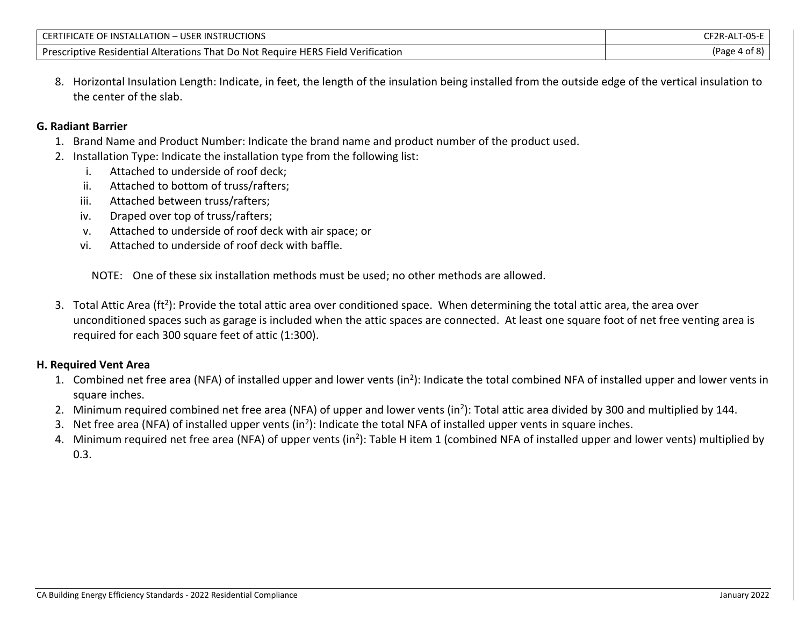| <b>TIONS</b><br><b>CERTIF</b><br><b>JSER</b><br><b>INSTALLATION -</b><br>0F<br><u>NSTRUL ו</u> P<br>-10<br>$\Lambda$ All                                  | $\sim$ $\sim$<br>. 11T |
|-----------------------------------------------------------------------------------------------------------------------------------------------------------|------------------------|
| Verification<br>$\epsilon$ HERS .<br>Presc<br>$\sim$ Field $\sim$<br>e Residential Alterations That I<br><b>Require</b><br>TIO Not<br>'IDTIV <del>F</del> | Page                   |

8. Horizontal Insulation Length: Indicate, in feet, the length of the insulation being installed from the outside edge of the vertical insulation to the center of the slab.

#### **G. Radiant Barrier**

- 1. Brand Name and Product Number: Indicate the brand name and product number of the product used.
- 2. Installation Type: Indicate the installation type from the following list:
	- i. Attached to underside of roof deck;
	- ii. Attached to bottom of truss/rafters;
	- iii. Attached between truss/rafters;
	- iv. Draped over top of truss/rafters;
	- v. Attached to underside of roof deck with air space; or
	- vi. Attached to underside of roof deck with baffle.

NOTE: One of these six installation methods must be used; no other methods are allowed.

3. Total Attic Area (ft<sup>2</sup>): Provide the total attic area over conditioned space. When determining the total attic area, the area over unconditioned spaces such as garage is included when the attic spaces are connected. At least one square foot of net free venting area is required for each 300 square feet of attic (1:300).

## **H. Required Vent Area**

- 1. Combined net free area (NFA) of installed upper and lower vents (in<sup>2</sup>): Indicate the total combined NFA of installed upper and lower vents in square inches.
- 2. Minimum required combined net free area (NFA) of upper and lower vents (in<sup>2</sup>): Total attic area divided by 300 and multiplied by 144.
- 3. Net free area (NFA) of installed upper vents (in<sup>2</sup>): Indicate the total NFA of installed upper vents in square inches.
- 4. Minimum required net free area (NFA) of upper vents (in<sup>2</sup>): Table H item 1 (combined NFA of installed upper and lower vents) multiplied by 0.3.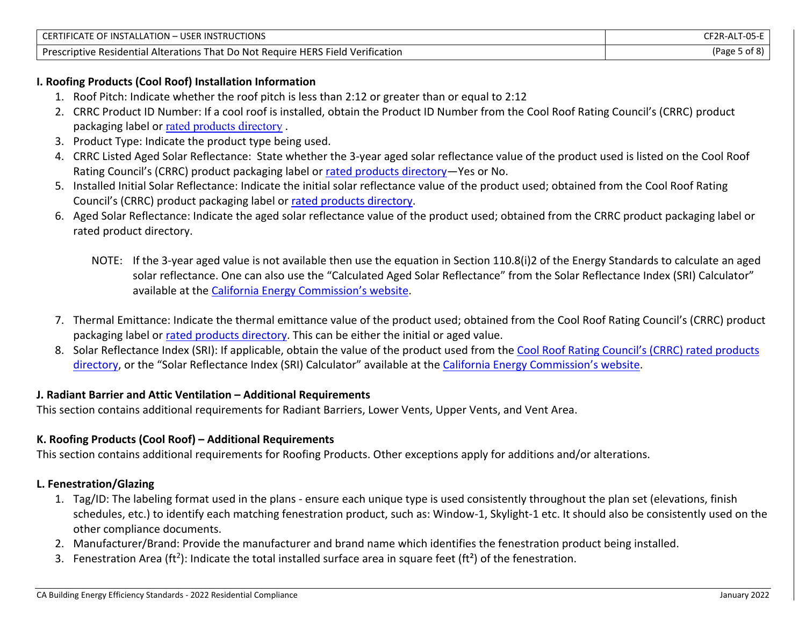| <b>USER INSTRUCTIONS</b>                                                         | ALT-05-         |
|----------------------------------------------------------------------------------|-----------------|
| CERTIFICATE OF INSTALLATION -                                                    | <b>F2R-AL,</b>  |
| Prescriptive Residential Alterations That Do Not Require HERS Field Verification | of 8<br>(Page . |

## **I. Roofing Products (Cool Roof) Installation Information**

- 1. Roof Pitch: Indicate whether the roof pitch is less than 2:12 or greater than or equal to 2:12
- 2. CRRC Product ID Number: If a cool roof is installed, obtain the Product ID Number from the Cool Roof Rating Council's (CRRC) product packaging label or [rated products directory](https://coolroofs.org/directory/roof) .
- 3. Product Type: Indicate the product type being used.
- 4. CRRC Listed Aged Solar Reflectance: State whether the 3-year aged solar reflectance value of the product used is listed on the Cool Roof Rating Council's (CRRC) product packaging label or [rated products directory](https://coolroofs.org/directory/roof)—Yes or No.
- 5. Installed Initial Solar Reflectance: Indicate the initial solar reflectance value of the product used; obtained from the Cool Roof Rating Council's (CRRC) product packaging label or [rated products directory.](https://coolroofs.org/directory/roof)
- 6. Aged Solar Reflectance: Indicate the aged solar reflectance value of the product used; obtained from the CRRC product packaging label or rated product directory.
	- NOTE: If the 3-year aged value is not available then use the equation in Section 110.8(i)2 of the Energy Standards to calculate an aged solar reflectance. One can also use the "Calculated Aged Solar Reflectance" from the Solar Reflectance Index (SRI) Calculator" available at the [California Energy Commission's website](https://www.energy.ca.gov/rules-and-regulations/building-energy-efficiency).
- 7. Thermal Emittance: Indicate the thermal emittance value of the product used; obtained from the Cool Roof Rating Council's (CRRC) product packaging label or [rated products directory.](https://coolroofs.org/directory/roof) This can be either the initial or aged value.
- 8. Solar Reflectance Index (SRI): If applicable, obtain the value of the product used from the [Cool Roof Rating Council's \(](https://coolroofs.org/directory/roof)CRRC) rated products [directory](https://coolroofs.org/directory/roof), or the "Solar Reflectance Index (SRI) Calculator" available at the [California Energy Commission's website](https://www.energy.ca.gov/rules-and-regulations/building-energy-efficiency).

## **J. Radiant Barrier and Attic Ventilation – Additional Requirements**

This section contains additional requirements for Radiant Barriers, Lower Vents, Upper Vents, and Vent Area.

## **K. Roofing Products (Cool Roof) – Additional Requirements**

This section contains additional requirements for Roofing Products. Other exceptions apply for additions and/or alterations.

## **L. Fenestration/Glazing**

- 1. Tag/ID: The labeling format used in the plans ensure each unique type is used consistently throughout the plan set (elevations, finish schedules, etc.) to identify each matching fenestration product, such as: Window-1, Skylight-1 etc. It should also be consistently used on the other compliance documents.
- 2. Manufacturer/Brand: Provide the manufacturer and brand name which identifies the fenestration product being installed.
- 3. Fenestration Area (ft<sup>2</sup>): Indicate the total installed surface area in square feet (ft<sup>2</sup>) of the fenestration.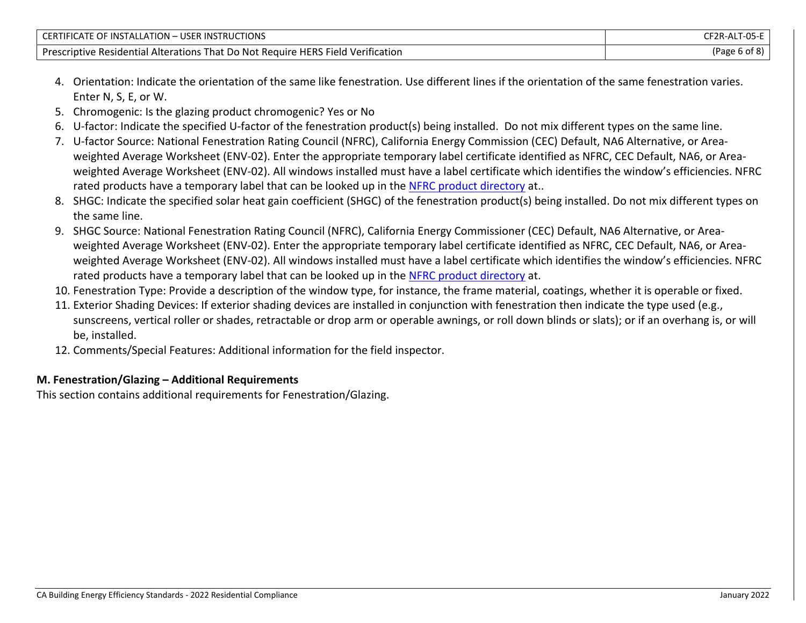| <b>USER INSTRUCTIONS</b><br>E OF INSTALLATION – I<br><b>CERTIFICATE</b>          | T-05-<br><b>F2R-ALI</b> |
|----------------------------------------------------------------------------------|-------------------------|
| Prescriptive Residential Alterations That Do Not Require HERS Field Verification | (Page 6 of 8)           |

- 4. Orientation: Indicate the orientation of the same like fenestration. Use different lines if the orientation of the same fenestration varies. Enter N, S, E, or W.
- 5. Chromogenic: Is the glazing product chromogenic? Yes or No
- 6. U-factor: Indicate the specified U-factor of the fenestration product(s) being installed. Do not mix different types on the same line.
- 7. U-factor Source: National Fenestration Rating Council (NFRC), California Energy Commission (CEC) Default, NA6 Alternative, or Areaweighted Average Worksheet (ENV-02). Enter the appropriate temporary label certificate identified as NFRC, CEC Default, NA6, or Areaweighted Average Worksheet (ENV-02). All windows installed must have a label certificate which identifies the window's efficiencies. NFRC rated products have a temporary label that can be looked up in the [NFRC product directory](https://search.nfrc.org/search/Searchdefault.aspx) at..
- 8. SHGC: Indicate the specified solar heat gain coefficient (SHGC) of the fenestration product(s) being installed. Do not mix different types on the same line.
- 9. SHGC Source: National Fenestration Rating Council (NFRC), California Energy Commissioner (CEC) Default, NA6 Alternative, or Areaweighted Average Worksheet (ENV-02). Enter the appropriate temporary label certificate identified as NFRC, CEC Default, NA6, or Areaweighted Average Worksheet (ENV-02). All windows installed must have a label certificate which identifies the window's efficiencies. NFRC rated products have a temporary label that can be looked up in the [NFRC product directory](https://search.nfrc.org/search/Searchdefault.aspx) at.
- 10. Fenestration Type: Provide a description of the window type, for instance, the frame material, coatings, whether it is operable or fixed.
- 11. Exterior Shading Devices: If exterior shading devices are installed in conjunction with fenestration then indicate the type used (e.g., sunscreens, vertical roller or shades, retractable or drop arm or operable awnings, or roll down blinds or slats); or if an overhang is, or will be, installed.
- 12. Comments/Special Features: Additional information for the field inspector.

# **M. Fenestration/Glazing – Additional Requirements**

This section contains additional requirements for Fenestration/Glazing.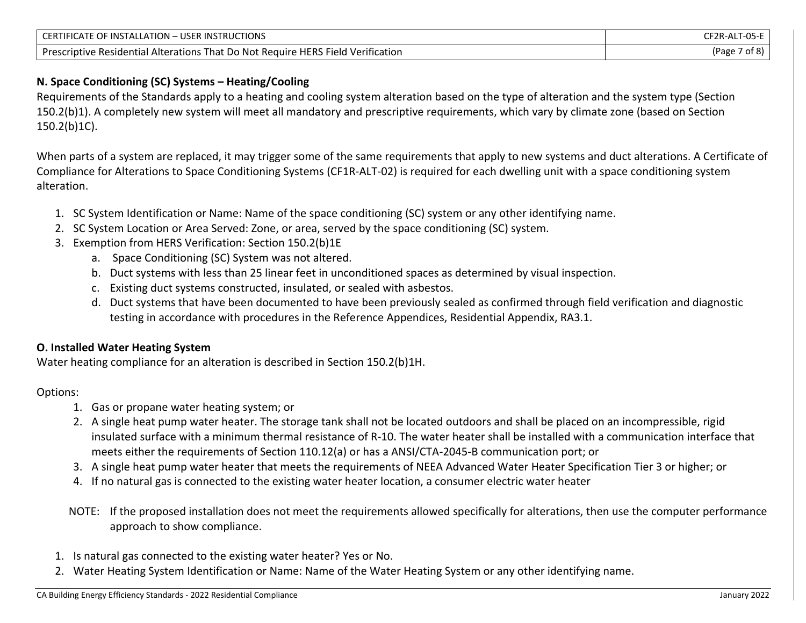| <b>USER INSTRUCTIONS</b><br>CERTIFICATE OF INSTALLATION $-$                      | CF2R-ALT-05-i |
|----------------------------------------------------------------------------------|---------------|
| Prescriptive Residential Alterations That Do Not Require HERS Field Verification | of 8<br>(Page |

## **N. Space Conditioning (SC) Systems – Heating/Cooling**

Requirements of the Standards apply to a heating and cooling system alteration based on the type of alteration and the system type (Section 150.2(b)1). A completely new system will meet all mandatory and prescriptive requirements, which vary by climate zone (based on Section 150.2(b)1C).

When parts of a system are replaced, it may trigger some of the same requirements that apply to new systems and duct alterations. A Certificate of Compliance for Alterations to Space Conditioning Systems (CF1R-ALT-02) is required for each dwelling unit with a space conditioning system alteration.

- 1. SC System Identification or Name: Name of the space conditioning (SC) system or any other identifying name.
- 2. SC System Location or Area Served: Zone, or area, served by the space conditioning (SC) system.
- 3. Exemption from HERS Verification: Section 150.2(b)1E
	- a. Space Conditioning (SC) System was not altered.
	- b. Duct systems with less than 25 linear feet in unconditioned spaces as determined by visual inspection.
	- c. Existing duct systems constructed, insulated, or sealed with asbestos.
	- d. Duct systems that have been documented to have been previously sealed as confirmed through field verification and diagnostic testing in accordance with procedures in the Reference Appendices, Residential Appendix, RA3.1.

## **O. Installed Water Heating System**

Water heating compliance for an alteration is described in Section 150.2(b)1H.

## Options:

- 1. Gas or propane water heating system; or
- 2. A single heat pump water heater. The storage tank shall not be located outdoors and shall be placed on an incompressible, rigid insulated surface with a minimum thermal resistance of R-10. The water heater shall be installed with a communication interface that meets either the requirements of Section 110.12(a) or has a ANSI/CTA-2045-B communication port; or
- 3. A single heat pump water heater that meets the requirements of NEEA Advanced Water Heater Specification Tier 3 or higher; or
- 4. If no natural gas is connected to the existing water heater location, a consumer electric water heater
- NOTE: If the proposed installation does not meet the requirements allowed specifically for alterations, then use the computer performance approach to show compliance.
- 1. Is natural gas connected to the existing water heater? Yes or No.
- 2. Water Heating System Identification or Name: Name of the Water Heating System or any other identifying name.